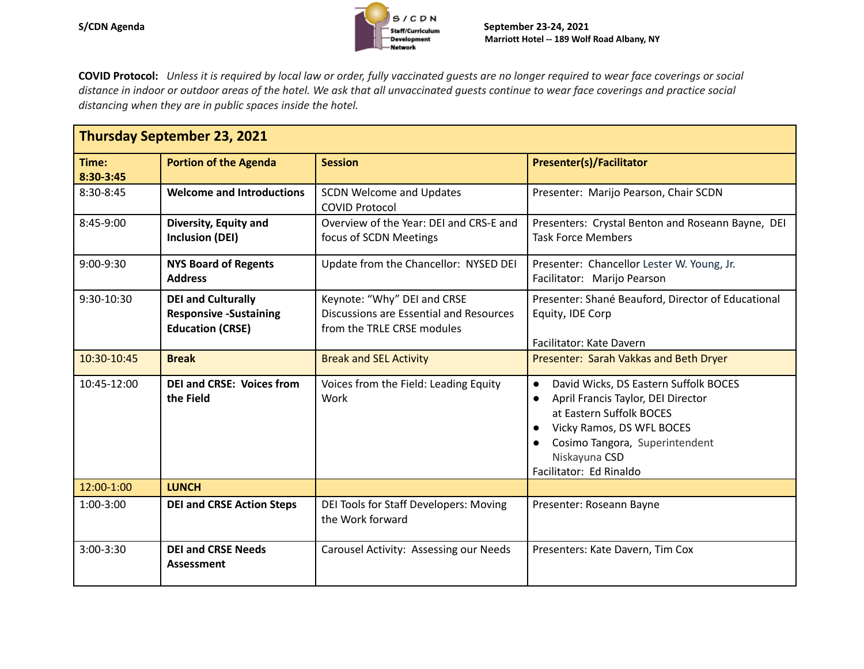

**COVID Protocol:** Unless it is required by local law or order, fully vaccinated quests are no longer required to wear face coverings or social distance in indoor or outdoor areas of the hotel. We ask that all unvaccinated guests continue to wear face coverings and practice social *distancing when they are in public spaces inside the hotel.*

| <b>Thursday September 23, 2021</b> |                                                                                       |                                                                                                      |                                                                                                                                                                                                                                                           |  |  |
|------------------------------------|---------------------------------------------------------------------------------------|------------------------------------------------------------------------------------------------------|-----------------------------------------------------------------------------------------------------------------------------------------------------------------------------------------------------------------------------------------------------------|--|--|
| Time:<br>8:30-3:45                 | <b>Portion of the Agenda</b>                                                          | <b>Session</b>                                                                                       | <b>Presenter(s)/Facilitator</b>                                                                                                                                                                                                                           |  |  |
| 8:30-8:45                          | <b>Welcome and Introductions</b>                                                      | <b>SCDN Welcome and Updates</b><br><b>COVID Protocol</b>                                             | Presenter: Marijo Pearson, Chair SCDN                                                                                                                                                                                                                     |  |  |
| 8:45-9:00                          | Diversity, Equity and<br><b>Inclusion (DEI)</b>                                       | Overview of the Year: DEI and CRS-E and<br>focus of SCDN Meetings                                    | Presenters: Crystal Benton and Roseann Bayne, DEI<br><b>Task Force Members</b>                                                                                                                                                                            |  |  |
| $9:00-9:30$                        | <b>NYS Board of Regents</b><br><b>Address</b>                                         | Update from the Chancellor: NYSED DEI                                                                | Presenter: Chancellor Lester W. Young, Jr.<br>Facilitator: Marijo Pearson                                                                                                                                                                                 |  |  |
| 9:30-10:30                         | <b>DEI and Culturally</b><br><b>Responsive -Sustaining</b><br><b>Education (CRSE)</b> | Keynote: "Why" DEI and CRSE<br>Discussions are Essential and Resources<br>from the TRLE CRSE modules | Presenter: Shané Beauford, Director of Educational<br>Equity, IDE Corp<br>Facilitator: Kate Davern                                                                                                                                                        |  |  |
| 10:30-10:45                        | <b>Break</b>                                                                          | <b>Break and SEL Activity</b>                                                                        | Presenter: Sarah Vakkas and Beth Dryer                                                                                                                                                                                                                    |  |  |
| 10:45-12:00                        | <b>DEI and CRSE: Voices from</b><br>the Field                                         | Voices from the Field: Leading Equity<br>Work                                                        | David Wicks, DS Eastern Suffolk BOCES<br>$\bullet$<br>April Francis Taylor, DEI Director<br>$\bullet$<br>at Eastern Suffolk BOCES<br>Vicky Ramos, DS WFL BOCES<br>Cosimo Tangora, Superintendent<br>$\bullet$<br>Niskayuna CSD<br>Facilitator: Ed Rinaldo |  |  |
| 12:00-1:00                         | <b>LUNCH</b>                                                                          |                                                                                                      |                                                                                                                                                                                                                                                           |  |  |
| $1:00-3:00$                        | <b>DEI and CRSE Action Steps</b>                                                      | DEI Tools for Staff Developers: Moving<br>the Work forward                                           | Presenter: Roseann Bayne                                                                                                                                                                                                                                  |  |  |
| 3:00-3:30                          | <b>DEI and CRSE Needs</b><br>Assessment                                               | Carousel Activity: Assessing our Needs                                                               | Presenters: Kate Davern, Tim Cox                                                                                                                                                                                                                          |  |  |